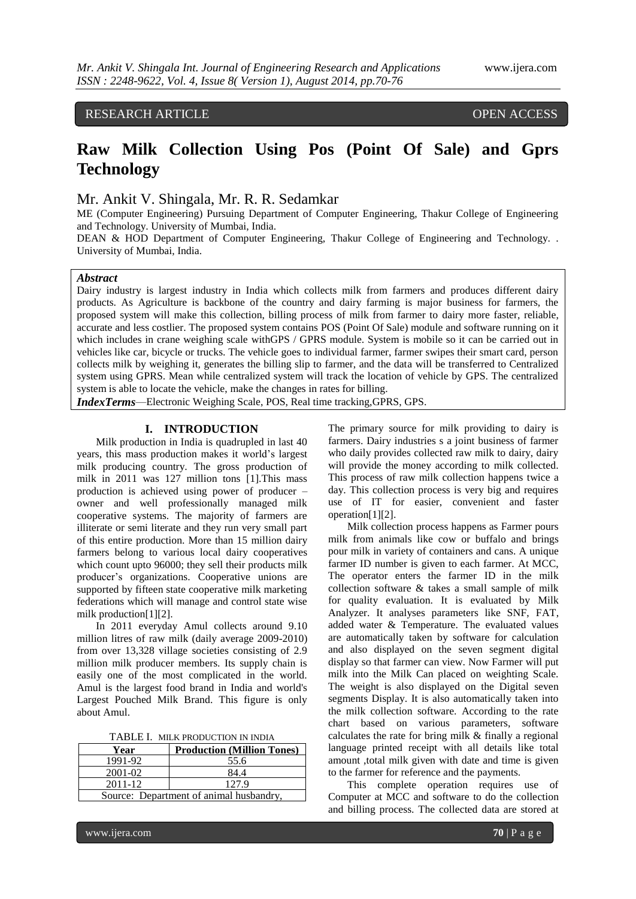## RESEARCH ARTICLE OPEN ACCESS

# **Raw Milk Collection Using Pos (Point Of Sale) and Gprs Technology**

## Mr. Ankit V. Shingala, Mr. R. R. Sedamkar

ME (Computer Engineering) Pursuing Department of Computer Engineering, Thakur College of Engineering and Technology. University of Mumbai, India.

DEAN & HOD Department of Computer Engineering, Thakur College of Engineering and Technology. University of Mumbai, India.

#### *Abstract*

Dairy industry is largest industry in India which collects milk from farmers and produces different dairy products. As Agriculture is backbone of the country and dairy farming is major business for farmers, the proposed system will make this collection, billing process of milk from farmer to dairy more faster, reliable, accurate and less costlier. The proposed system contains POS (Point Of Sale) module and software running on it which includes in crane weighing scale withGPS / GPRS module. System is mobile so it can be carried out in vehicles like car, bicycle or trucks. The vehicle goes to individual farmer, farmer swipes their smart card, person collects milk by weighing it, generates the billing slip to farmer, and the data will be transferred to Centralized system using GPRS. Mean while centralized system will track the location of vehicle by GPS. The centralized system is able to locate the vehicle, make the changes in rates for billing.

*IndexTerms*—Electronic Weighing Scale, POS, Real time tracking,GPRS, GPS.

#### **I. INTRODUCTION**

Milk production in India is quadrupled in last 40 years, this mass production makes it world's largest milk producing country. The gross production of milk in 2011 was 127 million tons [1].This mass production is achieved using power of producer – owner and well professionally managed milk cooperative systems. The majority of farmers are illiterate or semi literate and they run very small part of this entire production. More than 15 million dairy farmers belong to various local dairy cooperatives which count upto 96000; they sell their products milk producer's organizations. Cooperative unions are supported by fifteen state cooperative milk marketing federations which will manage and control state wise milk production[1][2].

In 2011 everyday Amul collects around 9.10 million litres of raw milk (daily average 2009-2010) from over 13,328 village societies consisting of 2.9 million milk producer members. Its supply chain is easily one of the most complicated in the world. Amul is the largest food brand in India and world's Largest Pouched Milk Brand. This figure is only about Amul.

TABLE I. MILK PRODUCTION IN INDIA

| Year                                    | <b>Production (Million Tones)</b> |  |
|-----------------------------------------|-----------------------------------|--|
| 1991-92                                 | 55.6                              |  |
| 2001-02                                 | 84.4                              |  |
| 2011-12                                 | 127.9                             |  |
| Source: Department of animal husbandry, |                                   |  |

GOI

The primary source for milk providing to dairy is farmers. Dairy industries s a joint business of farmer who daily provides collected raw milk to dairy, dairy will provide the money according to milk collected. This process of raw milk collection happens twice a day. This collection process is very big and requires use of IT for easier, convenient and faster operation[1][2].

Milk collection process happens as Farmer pours milk from animals like cow or buffalo and brings pour milk in variety of containers and cans. A unique farmer ID number is given to each farmer. At MCC, The operator enters the farmer ID in the milk collection software & takes a small sample of milk for quality evaluation. It is evaluated by Milk Analyzer. It analyses parameters like SNF, FAT, added water & Temperature. The evaluated values are automatically taken by software for calculation and also displayed on the seven segment digital display so that farmer can view. Now Farmer will put milk into the Milk Can placed on weighting Scale. The weight is also displayed on the Digital seven segments Display. It is also automatically taken into the milk collection software. According to the rate chart based on various parameters, software calculates the rate for bring milk & finally a regional language printed receipt with all details like total amount ,total milk given with date and time is given to the farmer for reference and the payments.

This complete operation requires use of Computer at MCC and software to do the collection and billing process. The collected data are stored at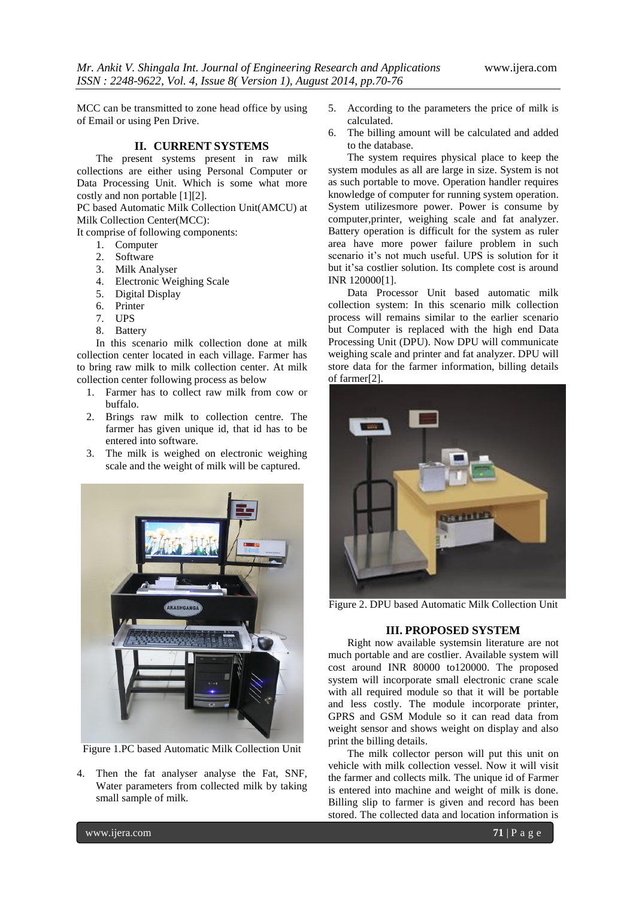MCC can be transmitted to zone head office by using of Email or using Pen Drive.

## **II. CURRENT SYSTEMS**

The present systems present in raw milk collections are either using Personal Computer or Data Processing Unit. Which is some what more costly and non portable [1][2].

PC based Automatic Milk Collection Unit(AMCU) at Milk Collection Center(MCC):

It comprise of following components:

- 1. Computer
- 2. Software
- 3. Milk Analyser
- 4. Electronic Weighing Scale
- 5. Digital Display
- 6. Printer
- 7. UPS
- 8. Battery

In this scenario milk collection done at milk collection center located in each village. Farmer has to bring raw milk to milk collection center. At milk collection center following process as below

- 1. Farmer has to collect raw milk from cow or buffalo.
- 2. Brings raw milk to collection centre. The farmer has given unique id, that id has to be entered into software.
- 3. The milk is weighed on electronic weighing scale and the weight of milk will be captured.



Figure 1.PC based Automatic Milk Collection Unit

4. Then the fat analyser analyse the Fat, SNF, Water parameters from collected milk by taking small sample of milk.

- 5. According to the parameters the price of milk is calculated.
- 6. The billing amount will be calculated and added to the database.

The system requires physical place to keep the system modules as all are large in size. System is not as such portable to move. Operation handler requires knowledge of computer for running system operation. System utilizesmore power. Power is consume by computer,printer, weighing scale and fat analyzer. Battery operation is difficult for the system as ruler area have more power failure problem in such scenario it's not much useful. UPS is solution for it but it'sa costlier solution. Its complete cost is around INR 120000[1].

Data Processor Unit based automatic milk collection system: In this scenario milk collection process will remains similar to the earlier scenario but Computer is replaced with the high end Data Processing Unit (DPU). Now DPU will communicate weighing scale and printer and fat analyzer. DPU will store data for the farmer information, billing details of farmer[2].



Figure 2. DPU based Automatic Milk Collection Unit

## **III. PROPOSED SYSTEM**

Right now available systemsin literature are not much portable and are costlier. Available system will cost around INR 80000 to120000. The proposed system will incorporate small electronic crane scale with all required module so that it will be portable and less costly. The module incorporate printer, GPRS and GSM Module so it can read data from weight sensor and shows weight on display and also print the billing details.

The milk collector person will put this unit on vehicle with milk collection vessel. Now it will visit the farmer and collects milk. The unique id of Farmer is entered into machine and weight of milk is done. Billing slip to farmer is given and record has been stored. The collected data and location information is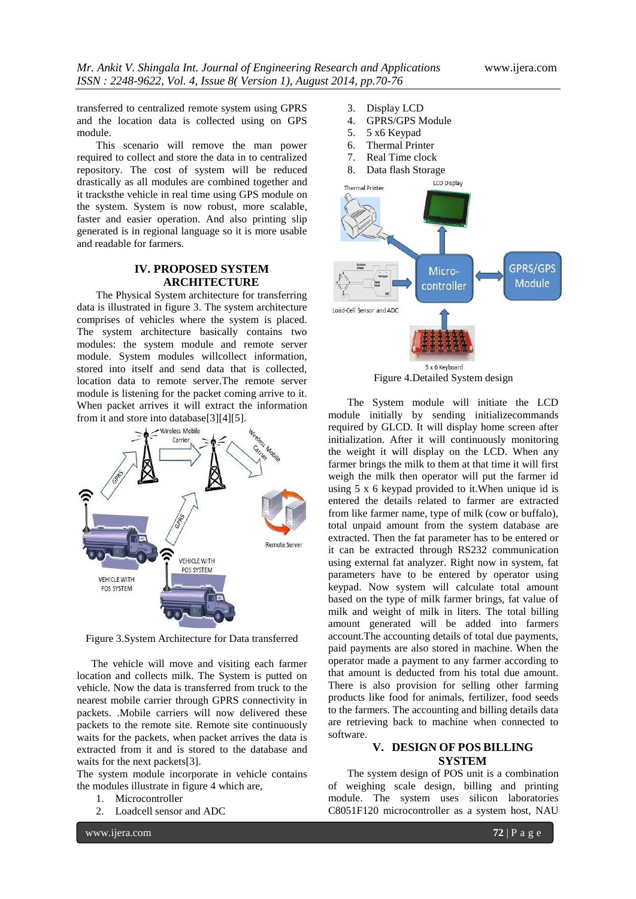transferred to centralized remote system using GPRS and the location data is collected using on GPS module.

This scenario will remove the man power required to collect and store the data in to centralized repository. The cost of system will be reduced drastically as all modules are combined together and it tracksthe vehicle in real time using GPS module on the system. System is now robust, more scalable, faster and easier operation. And also printing slip generated is in regional language so it is more usable and readable for farmers.

## **IV. PROPOSED SYSTEM ARCHITECTURE**

The Physical System architecture for transferring data is illustrated in figure 3. The system architecture comprises of vehicles where the system is placed. The system architecture basically contains two modules: the system module and remote server module. System modules willcollect information, stored into itself and send data that is collected, location data to remote server.The remote server module is listening for the packet coming arrive to it. When packet arrives it will extract the information from it and store into database[3][4][5].



Figure 3.System Architecture for Data transferred

The vehicle will move and visiting each farmer location and collects milk. The System is putted on vehicle. Now the data is transferred from truck to the nearest mobile carrier through GPRS connectivity in packets. .Mobile carriers will now delivered these packets to the remote site. Remote site continuously waits for the packets, when packet arrives the data is extracted from it and is stored to the database and waits for the next packets[3].

The system module incorporate in vehicle contains the modules illustrate in figure 4 which are,

- 1. Microcontroller
- 2. Loadcell sensor and ADC



- 4. GPRS/GPS Module
- 5. 5 x6 Keypad
- 6. Thermal Printer
- 7. Real Time clock
- 8. Data flash Storage



Figure 4.Detailed System design

The System module will initiate the LCD module initially by sending initializecommands required by GLCD. It will display home screen after initialization. After it will continuously monitoring the weight it will display on the LCD. When any farmer brings the milk to them at that time it will first weigh the milk then operator will put the farmer id using 5 x 6 keypad provided to it.When unique id is entered the details related to farmer are extracted from like farmer name, type of milk (cow or buffalo), total unpaid amount from the system database are extracted. Then the fat parameter has to be entered or it can be extracted through RS232 communication using external fat analyzer. Right now in system, fat parameters have to be entered by operator using keypad. Now system will calculate total amount based on the type of milk farmer brings, fat value of milk and weight of milk in liters. The total billing amount generated will be added into farmers account.The accounting details of total due payments, paid payments are also stored in machine. When the operator made a payment to any farmer according to that amount is deducted from his total due amount. There is also provision for selling other farming products like food for animals, fertilizer, food seeds to the farmers. The accounting and billing details data are retrieving back to machine when connected to software.

#### **V. DESIGN OF POS BILLING SYSTEM**

The system design of POS unit is a combination of weighing scale design, billing and printing module. The system uses silicon laboratories C8051F120 microcontroller as a system host, NAU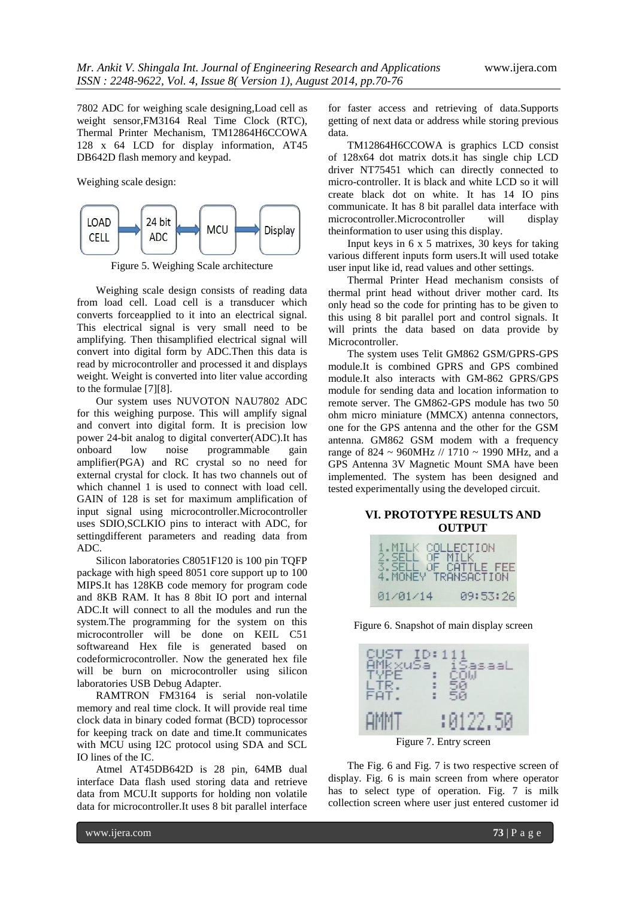7802 ADC for weighing scale designing,Load cell as weight sensor,FM3164 Real Time Clock (RTC), Thermal Printer Mechanism, TM12864H6CCOWA 128 x 64 LCD for display information, AT45 DB642D flash memory and keypad.

Weighing scale design:



Figure 5. Weighing Scale architecture

Weighing scale design consists of reading data from load cell. Load cell is a transducer which converts forceapplied to it into an electrical signal. This electrical signal is very small need to be amplifying. Then thisamplified electrical signal will convert into digital form by ADC.Then this data is read by microcontroller and processed it and displays weight. Weight is converted into liter value according to the formulae [7][8].

Our system uses NUVOTON NAU7802 ADC for this weighing purpose. This will amplify signal and convert into digital form. It is precision low power 24-bit analog to digital converter(ADC).It has onboard low noise programmable gain amplifier(PGA) and RC crystal so no need for external crystal for clock. It has two channels out of which channel 1 is used to connect with load cell. GAIN of 128 is set for maximum amplification of input signal using microcontroller.Microcontroller uses SDIO,SCLKIO pins to interact with ADC, for settingdifferent parameters and reading data from ADC.

Silicon laboratories C8051F120 is 100 pin TQFP package with high speed 8051 core support up to 100 MIPS.It has 128KB code memory for program code and 8KB RAM. It has 8 8bit IO port and internal ADC.It will connect to all the modules and run the system.The programming for the system on this microcontroller will be done on KEIL C51 softwareand Hex file is generated based on codeformicrocontroller. Now the generated hex file will be burn on microcontroller using silicon laboratories USB Debug Adapter.

RAMTRON FM3164 is serial non-volatile memory and real time clock. It will provide real time clock data in binary coded format (BCD) toprocessor for keeping track on date and time.It communicates with MCU using I2C protocol using SDA and SCL IO lines of the IC.

Atmel AT45DB642D is 28 pin, 64MB dual interface Data flash used storing data and retrieve data from MCU.It supports for holding non volatile data for microcontroller.It uses 8 bit parallel interface

for faster access and retrieving of data.Supports getting of next data or address while storing previous data.

TM12864H6CCOWA is graphics LCD consist of 128x64 dot matrix dots.it has single chip LCD driver NT75451 which can directly connected to micro-controller. It is black and white LCD so it will create black dot on white. It has 14 IO pins communicate. It has 8 bit parallel data interface with microcontroller.Microcontroller will display theinformation to user using this display.

Input keys in 6 x 5 matrixes, 30 keys for taking various different inputs form users.It will used totake user input like id, read values and other settings.

Thermal Printer Head mechanism consists of thermal print head without driver mother card. Its only head so the code for printing has to be given to this using 8 bit parallel port and control signals. It will prints the data based on data provide by Microcontroller.

The system uses Telit GM862 GSM/GPRS-GPS module.It is combined GPRS and GPS combined module.It also interacts with GM-862 GPRS/GPS module for sending data and location information to remote server. The GM862-GPS module has two 50 ohm micro miniature (MMCX) antenna connectors, one for the GPS antenna and the other for the GSM antenna. GM862 GSM modem with a frequency range of 824 ~ 960MHz  $// 1710$  ~ 1990 MHz, and a GPS Antenna 3V Magnetic Mount SMA have been implemented. The system has been designed and tested experimentally using the developed circuit.

#### **VI. PROTOTYPE RESULTS AND OUTPUT**

| 1. MILK COLLECTION<br>2. SELL OF MILK<br>3. SELL OF CATTLE FEE<br>4. MONEY TRANSACTION |  |
|----------------------------------------------------------------------------------------|--|
| 09:53:26<br>01/01/14                                                                   |  |

Figure 6. Snapshot of main display screen



The Fig. 6 and Fig. 7 is two respective screen of display. Fig. 6 is main screen from where operator has to select type of operation. Fig. 7 is milk collection screen where user just entered customer id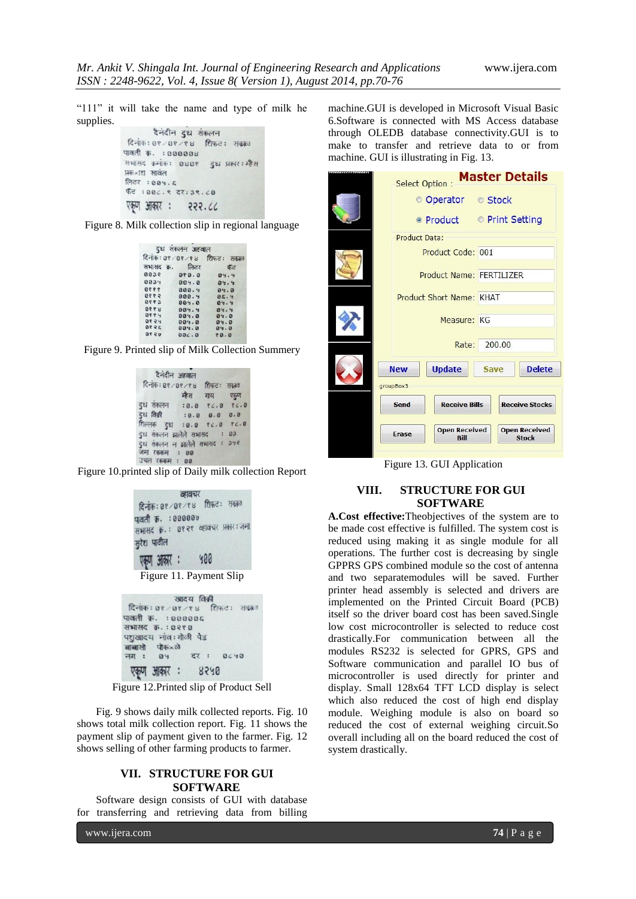"111" it will take the name and type of milk he supplies.

```
दैनंदीन दुध संकलन
दिनांक: ०१ / ०१ / १४ शिफ़ट: सकाल
पावती क. : 000008
सभासद क्रमोंक: 080?
                    दुध प्रकार: म्हैस
प्रक×ाश सावंत
लिटर: 004. &
फॅट : 00८. ९ दर: ३९. ८०
एकण आकार :
               222.66
```


|       | दुध संकलन अहवाल |                              |
|-------|-----------------|------------------------------|
|       |                 | दिनांकः ०१/०१/१४ शिफ़टः सकाळ |
|       | सभासद क्र. लिटर | ਾਨੌਂਟ                        |
| 8032  | 0.09            | 84.4                         |
| 0034  | 004.0           | 04.4                         |
| 9990  | 000.9           | 04.0                         |
| 9882  | 000.4           | BC.9                         |
| 8883  | 004.0           | 84.4                         |
| 8888  | 004.4           | 84.4                         |
| 9990  | 004.0           | 84.8                         |
| 88.24 | 004.0           | 84.8                         |
| 3598  | 004.0           | 84.8                         |
| 0580  | 00C.0           | 80.8                         |



| दैनंदीन अहवाल                                                   |               |  |
|-----------------------------------------------------------------|---------------|--|
| दिनांक: 0१/0१/१४ शिफ़ट: सक्रह                                   |               |  |
|                                                                 | म्हैस गाय एक् |  |
| दुध सकलन : 0.0 १८.0 १८.0                                        |               |  |
| दुध विक्री : 0.0 0.0 0.0                                        |               |  |
| शिल्लक दुध : 0.0 १८.0 १८.0                                      |               |  |
| दुध संकलन झालेले सभासद : 03                                     |               |  |
| दुध संकलन न झालेले सभासद : ३५२<br>जमा रककम : 00<br>उचल रककम: 00 |               |  |

Figure 10.printed slip of Daily milk collection Report

| व्हावचर                           |
|-----------------------------------|
| दिनाक: 0१/0१/१४ शिफ़ट: सकाल       |
| पावती क्र. : 000000               |
| सभासद कः ७१२१ व्हावचर प्रकार: जमा |
| मुरेश पाटील                       |
| एक्रण आकार : ५००                  |
|                                   |
| Figure 11. Payment Slip           |
|                                   |
| खादय विक्री                       |
| दिनाक: 0१/0१/१४ शिफट: सकाठ        |
| ावती क. : ८००००६                  |
| भासद क.: ०२९ ०                    |
| शुखादय नाव:गोळी पेड               |
| बासो पोक×ले                       |
| गाः ०५ दरः ०८५०                   |
| एकण आकार : ४२५०                   |

Figure 12.Printed slip of Product Sell

Fig. 9 shows daily milk collected reports. Fig. 10 shows total milk collection report. Fig. 11 shows the payment slip of payment given to the farmer. Fig. 12 shows selling of other farming products to farmer.

#### **VII. STRUCTURE FOR GUI SOFTWARE**

Software design consists of GUI with database for transferring and retrieving data from billing

www.ijera.com **74** | P a g e

AN A

machine.GUI is developed in Microsoft Visual Basic 6.Software is connected with MS Access database through OLEDB database connectivity.GUI is to make to transfer and retrieve data to or from machine. GUI is illustrating in Fig. 13.

|                 | <b>Select Option:</b>        |                      |                                      | <b>Master Details</b> |  |
|-----------------|------------------------------|----------------------|--------------------------------------|-----------------------|--|
|                 | © Operator © Stock           |                      |                                      |                       |  |
|                 | • Product • Print Setting    |                      |                                      |                       |  |
| Product Data:   |                              |                      |                                      |                       |  |
|                 | Product Code: 001            |                      |                                      |                       |  |
|                 | Product Name: FERTILIZER     |                      |                                      |                       |  |
|                 | Product Short Name: KHAT     |                      |                                      |                       |  |
|                 | Measure: KG                  |                      |                                      |                       |  |
| 200.00<br>Rate: |                              |                      |                                      |                       |  |
| <b>New</b>      | <b>Update</b>                | <b>Save</b>          |                                      | <b>Delete</b>         |  |
| groupBox3       |                              |                      |                                      |                       |  |
| Send            |                              | <b>Receive Bills</b> |                                      | <b>Receive Stocks</b> |  |
| Erase           | <b>Open Received</b><br>Bill |                      | <b>Open Received</b><br><b>Stock</b> |                       |  |

Figure 13. GUI Application

## **VIII. STRUCTURE FOR GUI SOFTWARE**

**A.Cost effective:**Theobjectives of the system are to be made cost effective is fulfilled. The system cost is reduced using making it as single module for all operations. The further cost is decreasing by single GPPRS GPS combined module so the cost of antenna and two separatemodules will be saved. Further printer head assembly is selected and drivers are implemented on the Printed Circuit Board (PCB) itself so the driver board cost has been saved.Single low cost microcontroller is selected to reduce cost drastically.For communication between all the modules RS232 is selected for GPRS, GPS and Software communication and parallel IO bus of microcontroller is used directly for printer and display. Small 128x64 TFT LCD display is select which also reduced the cost of high end display module. Weighing module is also on board so reduced the cost of external weighing circuit.So overall including all on the board reduced the cost of system drastically.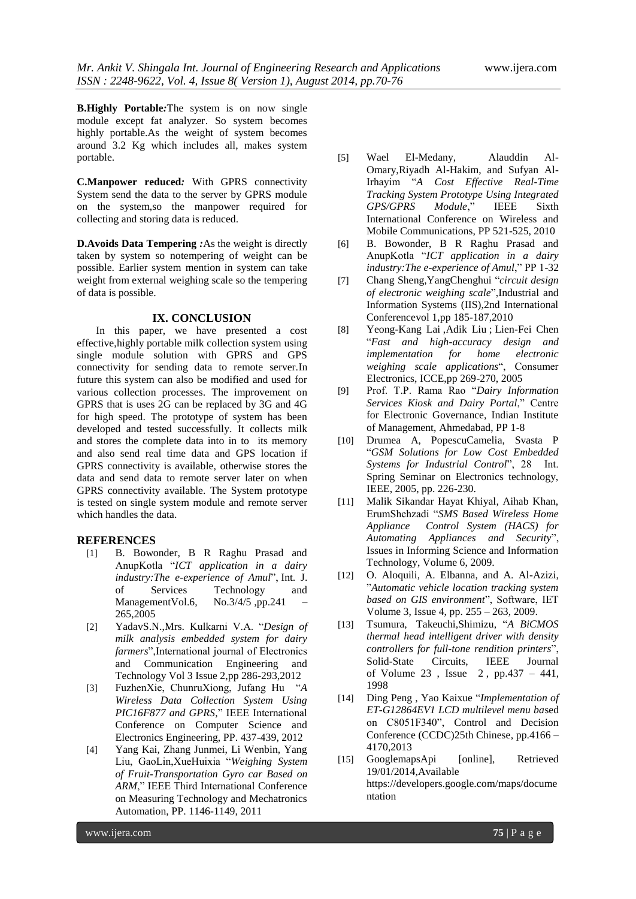**B.Highly Portable***:*The system is on now single module except fat analyzer. So system becomes highly portable.As the weight of system becomes around 3.2 Kg which includes all, makes system portable.

**C.Manpower reduced***:* With GPRS connectivity System send the data to the server by GPRS module on the system,so the manpower required for collecting and storing data is reduced.

**D.Avoids Data Tempering** *:*As the weight is directly taken by system so notempering of weight can be possible. Earlier system mention in system can take weight from external weighing scale so the tempering of data is possible.

## **IX. CONCLUSION**

In this paper, we have presented a cost effective,highly portable milk collection system using single module solution with GPRS and GPS connectivity for sending data to remote server.In future this system can also be modified and used for various collection processes. The improvement on GPRS that is uses 2G can be replaced by 3G and 4G for high speed. The prototype of system has been developed and tested successfully. It collects milk and stores the complete data into in to its memory and also send real time data and GPS location if GPRS connectivity is available, otherwise stores the data and send data to remote server later on when GPRS connectivity available. The System prototype is tested on single system module and remote server which handles the data.

#### **REFERENCES**

- [1] B. Bowonder, B R Raghu Prasad and AnupKotla ―*ICT application in a dairy industry:The e-experience of Amul*", Int. J. of Services Technology and ManagementVol.6, No. $3/4/5$ , pp.241 265,2005
- [2] YadavS.N.,Mrs. Kulkarni V.A. "Design of *milk analysis embedded system for dairy*  farmers", International journal of Electronics and Communication Engineering and Technology Vol 3 Issue 2,pp 286-293,2012
- [3] FuzhenXie, ChunruXiong, Jufang Hu ―*A Wireless Data Collection System Using PIC16F877 and GPRS*," IEEE International Conference on Computer Science and Electronics Engineering, PP. 437-439, 2012
- [4] Yang Kai, Zhang Junmei, Li Wenbin, Yang Liu, GaoLin,XueHuixia ―*Weighing System of Fruit-Transportation Gyro car Based on*  ARM," IEEE Third International Conference on Measuring Technology and Mechatronics Automation, PP. 1146-1149, 2011
- [5] Wael El-Medany, Alauddin Al-Omary,Riyadh Al-Hakim, and Sufyan Al-Irhayim ―*A Cost Effective Real-Time Tracking System Prototype Using Integrated GPS/GPRS Module*,‖ IEEE Sixth International Conference on Wireless and Mobile Communications, PP 521-525, 2010
- [6] B. Bowonder, B R Raghu Prasad and AnupKotla ―*ICT application in a dairy industry: The e-experience of Amul*," PP 1-32
- [7] [Chang Sheng,](http://ieeexplore.ieee.org/xpl/abstractAuthors.jsp?tp=&arnumber=5565882&url=http%3A%2F%2Fieeexplore.ieee.org%2Fxpls%2Fabs_all.jsp%3Farnumber%3D5565882)[YangChenghui](http://ieeexplore.ieee.org/search/searchresult.jsp?searchWithin=p_Authors:.QT.Yang%20Chenghui.QT.&searchWithin=p_Author_Ids:37542003600&newsearch=true) ―*circuit design of electronic weighing scale*‖[,Industrial and](http://ieeexplore.ieee.org/xpl/mostRecentIssue.jsp?punumber=5559274)  [Information Systems \(IIS\),2nd International](http://ieeexplore.ieee.org/xpl/mostRecentIssue.jsp?punumber=5559274)  [Conferencev](http://ieeexplore.ieee.org/xpl/mostRecentIssue.jsp?punumber=5559274)ol 1,pp 185-187,2010
- [8] [Yeong-Kang Lai](http://ieeexplore.ieee.org/search/searchresult.jsp?searchWithin=p_Authors:.QT.Yeong-Kang%20Lai.QT.&searchWithin=p_Author_Ids:37277037000&newsearch=true) [,Adik Liu](http://ieeexplore.ieee.org/search/searchresult.jsp?searchWithin=p_Authors:.QT.Adik%20Liu.QT.&searchWithin=p_Author_Ids:37419919200&newsearch=true) ; [Lien-Fei Chen](http://ieeexplore.ieee.org/search/searchresult.jsp?searchWithin=p_Authors:.QT.Lien-Fei%20Chen.QT.&searchWithin=p_Author_Ids:37280385900&newsearch=true) ―*Fast and high-accuracy design and implementation for home electronic weighing scale applications*―, Consumer Electronics, ICCE,pp 269-270, 2005
- [9] Prof. T.P. Rama Rao "Dairy Information **Services Kiosk and Dairy Portal," Centre** for Electronic Governance, Indian Institute of Management, Ahmedabad, PP 1-8
- [10] Drumea A, PopescuCamelia, Svasta P ―*GSM Solutions for Low Cost Embedded*  Systems for Industrial Control", 28 Int. Spring Seminar on Electronics technology, IEEE, 2005, pp. 226-230.
- [11] Malik Sikandar Hayat Khiyal, Aihab Khan, ErumShehzadi ―*SMS Based Wireless Home Appliance Control System (HACS) for Automating Appliances and Security*‖, Issues in Informing Science and Information Technology, Volume 6, 2009.
- [12] O. Aloquili, A. Elbanna, and A. Al-Azizi, ‖*Automatic vehicle location tracking system*  based on GIS environment", Software, IET Volume 3, Issue 4, pp. 255 – 263, 2009.
- [13] [Tsumura, T](http://ieeexplore.ieee.org/search/searchresult.jsp?searchWithin=p_Authors:.QT.Tsumura,%20M..QT.&searchWithin=p_Author_Ids:37295203900&newsearch=true)akeuchi[,Shimizu,](http://ieeexplore.ieee.org/search/searchresult.jsp?searchWithin=p_Authors:.QT.Shimizu,%20I..QT.&searchWithin=p_Author_Ids:37338303700&newsearch=true) ―*A BiCMOS thermal head intelligent driver with density controllers for full-tone rendition printers*‖, [Solid-State Circuits, IEEE Journal](http://ieeexplore.ieee.org/xpl/RecentIssue.jsp?punumber=4)  [of](http://ieeexplore.ieee.org/xpl/RecentIssue.jsp?punumber=4) Volume 23, Issue  $2$ , pp.437 – 441, 1998
- [14] [Ding Peng](http://ieeexplore.ieee.org/search/searchresult.jsp?searchWithin=p_Authors:.QT.Ding%20Peng.QT.&newsearch=true), [Yao Kaixue](http://ieeexplore.ieee.org/search/searchresult.jsp?searchWithin=p_Authors:.QT.Yao%20Kaixue.QT.&newsearch=true) "*Implementation of ET-G12864EV1 LCD multilevel menu ba*sed on C8051F340", Control and Decision [Conference \(CCDC\)25th Chinese,](http://ieeexplore.ieee.org/xpl/mostRecentIssue.jsp?punumber=6552458) pp.4166 – 4170,2013
- [15] GooglemapsApi [online], Retrieved 19/01/2014,Available https://developers.google.com/maps/docume ntation